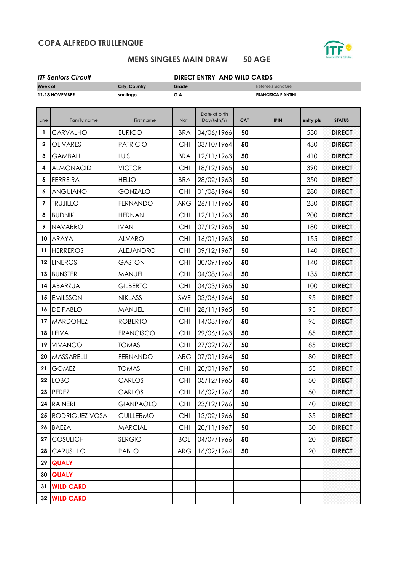## **COPA ALFREDO TRULLENQUE**



# **MENS SINGLES MAIN DRAW 50 AGE**

| <b>ITF Seniors Circuit</b> |                       |                  | <b>DIRECT ENTRY AND WILD CARDS</b> |                             |            |                           |           |               |  |
|----------------------------|-----------------------|------------------|------------------------------------|-----------------------------|------------|---------------------------|-----------|---------------|--|
| Week of                    |                       | City, Country    | Grade<br>Referee's Signature       |                             |            |                           |           |               |  |
| 11-18 NOVEMBER             |                       | santiago         | G A                                |                             |            | <b>FRANCESCA PIANTINI</b> |           |               |  |
| Line                       | Family name           | First name       | Nat.                               | Date of birth<br>Day/Mth/Yr | <b>CAT</b> | <b>IPIN</b>               | entry pts | <b>STATUS</b> |  |
| 1                          | <b>CARVALHO</b>       | <b>EURICO</b>    | <b>BRA</b>                         | 04/06/1966                  | 50         |                           | 530       | <b>DIRECT</b> |  |
| $\mathbf{2}$               | <b>OLIVARES</b>       | <b>PATRICIO</b>  | <b>CHI</b>                         | 03/10/1964                  | 50         |                           | 430       | <b>DIRECT</b> |  |
| 3                          | <b>GAMBALI</b>        | LUIS             | <b>BRA</b>                         | 12/11/1963                  | 50         |                           | 410       | <b>DIRECT</b> |  |
| 4                          | <b>ALMONACID</b>      | <b>VICTOR</b>    | <b>CHI</b>                         | 18/12/1965                  | 50         |                           | 390       | <b>DIRECT</b> |  |
| 5                          | <b>FERREIRA</b>       | <b>HELIO</b>     | <b>BRA</b>                         | 28/02/1963                  | 50         |                           | 350       | <b>DIRECT</b> |  |
| 6                          | <b>ANGUIANO</b>       | <b>GONZALO</b>   | <b>CHI</b>                         | 01/08/1964                  | 50         |                           | 280       | <b>DIRECT</b> |  |
| $\overline{7}$             | <b>TRUJILLO</b>       | <b>FERNANDO</b>  | <b>ARG</b>                         | 26/11/1965                  | 50         |                           | 230       | <b>DIRECT</b> |  |
| 8                          | <b>BUDNIK</b>         | <b>HERNAN</b>    | <b>CHI</b>                         | 12/11/1963                  | 50         |                           | 200       | <b>DIRECT</b> |  |
| 9                          | <b>NAVARRO</b>        | <b>IVAN</b>      | <b>CHI</b>                         | 07/12/1965                  | 50         |                           | 180       | <b>DIRECT</b> |  |
| 10                         | <b>ARAYA</b>          | <b>ALVARO</b>    | <b>CHI</b>                         | 16/01/1963                  | 50         |                           | 155       | <b>DIRECT</b> |  |
| 11                         | <b>HERREROS</b>       | <b>ALEJANDRO</b> | <b>CHI</b>                         | 09/12/1967                  | 50         |                           | 140       | <b>DIRECT</b> |  |
| 12                         | <b>LINEROS</b>        | <b>GASTON</b>    | <b>CHI</b>                         | 30/09/1965                  | 50         |                           | 140       | <b>DIRECT</b> |  |
| 13                         | <b>BUNSTER</b>        | <b>MANUEL</b>    | <b>CHI</b>                         | 04/08/1964                  | 50         |                           | 135       | <b>DIRECT</b> |  |
| 14                         | <b>ABARZUA</b>        | <b>GILBERTO</b>  | <b>CHI</b>                         | 04/03/1965                  | 50         |                           | 100       | <b>DIRECT</b> |  |
| 15                         | <b>EMILSSON</b>       | <b>NIKLASS</b>   | SWE                                | 03/06/1964                  | 50         |                           | 95        | <b>DIRECT</b> |  |
| 16                         | <b>DE PABLO</b>       | <b>MANUEL</b>    | <b>CHI</b>                         | 28/11/1965                  | 50         |                           | 95        | <b>DIRECT</b> |  |
| 17                         | <b>MARDONEZ</b>       | <b>ROBERTO</b>   | <b>CHI</b>                         | 14/03/1967                  | 50         |                           | 95        | <b>DIRECT</b> |  |
| 18                         | LEIVA                 | <b>FRANCISCO</b> | <b>CHI</b>                         | 29/06/1963                  | 50         |                           | 85        | <b>DIRECT</b> |  |
| 19                         | <b>VIVANCO</b>        | <b>TOMAS</b>     | <b>CHI</b>                         | 27/02/1967                  | 50         |                           | 85        | <b>DIRECT</b> |  |
|                            | 20 MASSARELLI         | <b>FERNANDO</b>  | <b>ARG</b>                         | 07/01/1964                  | 50         |                           | 80        | <b>DIRECT</b> |  |
| 21                         | <b>GOMEZ</b>          | <b>TOMAS</b>     | <b>CHI</b>                         | 20/01/1967                  | 50         |                           | 55        | <b>DIRECT</b> |  |
| $22\phantom{.0}$           | LOBO                  | CARLOS           | <b>CHI</b>                         | 05/12/1965                  | 50         |                           | 50        | <b>DIRECT</b> |  |
|                            | 23 PEREZ              | CARLOS           | <b>CHI</b>                         | 16/02/1967                  | 50         |                           | 50        | <b>DIRECT</b> |  |
|                            | 24 RAINERI            | <b>GIANPAOLO</b> | <b>CHI</b>                         | 23/12/1966                  | 50         |                           | 40        | <b>DIRECT</b> |  |
| 25                         | <b>RODRIGUEZ VOSA</b> | <b>GUILLERMO</b> | <b>CHI</b>                         | 13/02/1966                  | 50         |                           | 35        | <b>DIRECT</b> |  |
| 26                         | <b>BAEZA</b>          | <b>MARCIAL</b>   | <b>CHI</b>                         | 20/11/1967                  | 50         |                           | 30        | <b>DIRECT</b> |  |
| 27                         | <b>COSULICH</b>       | <b>SERGIO</b>    | <b>BOL</b>                         | 04/07/1966                  | 50         |                           | 20        | <b>DIRECT</b> |  |
| 28                         | <b>CARUSILLO</b>      | PABLO            | <b>ARG</b>                         | 16/02/1964                  | 50         |                           | 20        | <b>DIRECT</b> |  |
| 29                         | <b>QUALY</b>          |                  |                                    |                             |            |                           |           |               |  |
| 30                         | <b>QUALY</b>          |                  |                                    |                             |            |                           |           |               |  |
| 31                         | <b>WILD CARD</b>      |                  |                                    |                             |            |                           |           |               |  |
|                            | 32 WILD CARD          |                  |                                    |                             |            |                           |           |               |  |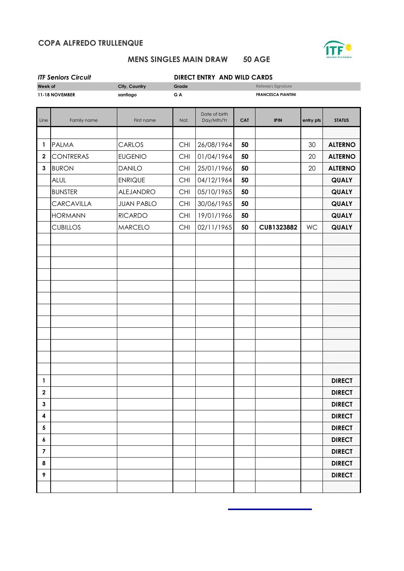## **COPA ALFREDO TRULLENQUE**



# **MENS SINGLES MAIN DRAW 50 AGE**

| <b>ITF Seniors Circuit</b><br>DIRECT ENTRY AND WILD CARDS |                  |                              |                           |                             |            |             |           |                |
|-----------------------------------------------------------|------------------|------------------------------|---------------------------|-----------------------------|------------|-------------|-----------|----------------|
| Week of<br>City, Country                                  |                  | Grade<br>Referee's Signature |                           |                             |            |             |           |                |
| 11-18 NOVEMBER<br>santiago                                |                  | G A                          | <b>FRANCESCA PIANTINI</b> |                             |            |             |           |                |
|                                                           |                  |                              |                           |                             |            |             |           |                |
| Line                                                      | Family name      | First name                   | Nat.                      | Date of birth<br>Day/Mth/Yr | <b>CAT</b> | <b>IPIN</b> | entry pts | <b>STATUS</b>  |
|                                                           |                  |                              |                           |                             |            |             |           |                |
| 1                                                         | <b>PALMA</b>     | CARLOS                       | <b>CHI</b>                | 26/08/1964                  | 50         |             | 30        | <b>ALTERNO</b> |
| $\mathbf{2}$                                              | <b>CONTRERAS</b> | <b>EUGENIO</b>               | <b>CHI</b>                | 01/04/1964                  | 50         |             | 20        | <b>ALTERNO</b> |
| $\mathbf{3}$                                              | <b>BURON</b>     | <b>DANILO</b>                | CHI                       | 25/01/1966                  | 50         |             | 20        | <b>ALTERNO</b> |
|                                                           | <b>ALUL</b>      | <b>ENRIQUE</b>               | CHI                       | 04/12/1964                  | 50         |             |           | QUALY          |
|                                                           | <b>BUNSTER</b>   | ALEJANDRO                    | <b>CHI</b>                | 05/10/1965                  | 50         |             |           | QUALY          |
|                                                           | CARCAVILLA       | <b>JUAN PABLO</b>            | <b>CHI</b>                | 30/06/1965                  | 50         |             |           | QUALY          |
|                                                           | <b>HORMANN</b>   | <b>RICARDO</b>               | <b>CHI</b>                | 19/01/1966                  | 50         |             |           | <b>QUALY</b>   |
|                                                           | <b>CUBILLOS</b>  | <b>MARCELO</b>               | CHI                       | 02/11/1965                  | 50         | CUB1323882  | WC        | QUALY          |
|                                                           |                  |                              |                           |                             |            |             |           |                |
|                                                           |                  |                              |                           |                             |            |             |           |                |
|                                                           |                  |                              |                           |                             |            |             |           |                |
|                                                           |                  |                              |                           |                             |            |             |           |                |
|                                                           |                  |                              |                           |                             |            |             |           |                |
|                                                           |                  |                              |                           |                             |            |             |           |                |
|                                                           |                  |                              |                           |                             |            |             |           |                |
|                                                           |                  |                              |                           |                             |            |             |           |                |
|                                                           |                  |                              |                           |                             |            |             |           |                |
|                                                           |                  |                              |                           |                             |            |             |           |                |
|                                                           |                  |                              |                           |                             |            |             |           |                |
|                                                           |                  |                              |                           |                             |            |             |           |                |
| 1                                                         |                  |                              |                           |                             |            |             |           | <b>DIRECT</b>  |
| $\boldsymbol{2}$                                          |                  |                              |                           |                             |            |             |           | <b>DIRECT</b>  |
| 3                                                         |                  |                              |                           |                             |            |             |           | <b>DIRECT</b>  |
| 4                                                         |                  |                              |                           |                             |            |             |           | <b>DIRECT</b>  |
| 5                                                         |                  |                              |                           |                             |            |             |           | <b>DIRECT</b>  |
| 6                                                         |                  |                              |                           |                             |            |             |           | <b>DIRECT</b>  |
| 7                                                         |                  |                              |                           |                             |            |             |           | <b>DIRECT</b>  |
| 8                                                         |                  |                              |                           |                             |            |             |           | <b>DIRECT</b>  |
| 9                                                         |                  |                              |                           |                             |            |             |           | <b>DIRECT</b>  |
|                                                           |                  |                              |                           |                             |            |             |           |                |